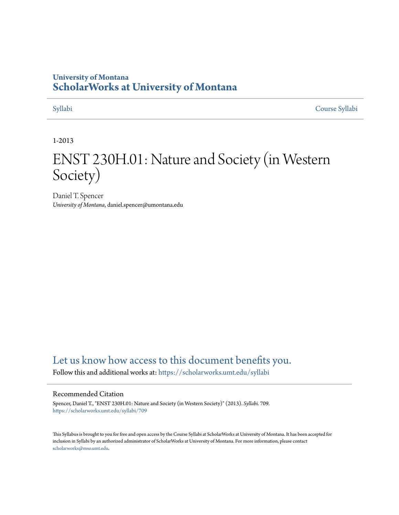## **University of Montana [ScholarWorks at University of Montana](https://scholarworks.umt.edu?utm_source=scholarworks.umt.edu%2Fsyllabi%2F709&utm_medium=PDF&utm_campaign=PDFCoverPages)**

[Syllabi](https://scholarworks.umt.edu/syllabi?utm_source=scholarworks.umt.edu%2Fsyllabi%2F709&utm_medium=PDF&utm_campaign=PDFCoverPages) [Course Syllabi](https://scholarworks.umt.edu/course_syllabi?utm_source=scholarworks.umt.edu%2Fsyllabi%2F709&utm_medium=PDF&utm_campaign=PDFCoverPages)

#### 1-2013

# ENST 230H.01: Nature and Society (in Western Society)

Daniel T. Spencer *University of Montana*, daniel.spencer@umontana.edu

## [Let us know how access to this document benefits you.](https://goo.gl/forms/s2rGfXOLzz71qgsB2)

Follow this and additional works at: [https://scholarworks.umt.edu/syllabi](https://scholarworks.umt.edu/syllabi?utm_source=scholarworks.umt.edu%2Fsyllabi%2F709&utm_medium=PDF&utm_campaign=PDFCoverPages)

#### Recommended Citation

Spencer, Daniel T., "ENST 230H.01: Nature and Society (in Western Society)" (2013). *Syllabi*. 709. [https://scholarworks.umt.edu/syllabi/709](https://scholarworks.umt.edu/syllabi/709?utm_source=scholarworks.umt.edu%2Fsyllabi%2F709&utm_medium=PDF&utm_campaign=PDFCoverPages)

This Syllabus is brought to you for free and open access by the Course Syllabi at ScholarWorks at University of Montana. It has been accepted for inclusion in Syllabi by an authorized administrator of ScholarWorks at University of Montana. For more information, please contact [scholarworks@mso.umt.edu](mailto:scholarworks@mso.umt.edu).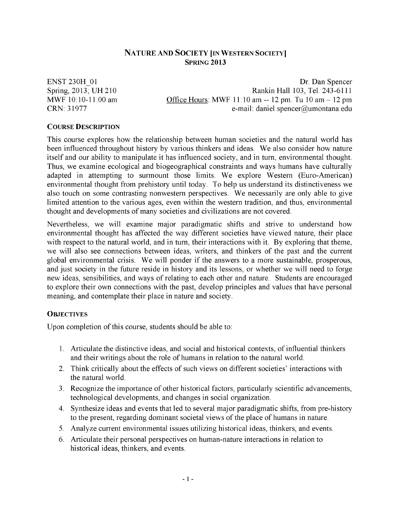#### **NATURE AND SOCIETY [IN WESTERN SOCIETY] SPRING 2013**

**ENST 230H 01** Spring, 2013; UH 210 MWF 10:10-11:00 am CRN: 31977

Dr. Dan Spencer Rankin Hall 103, Tel. 243-6111 Office Hours: MWF  $11:10$  am  $-12$  pm. Tu  $10$  am  $-12$  pm e-mail: daniel.spencer@umontana.edu

#### **COURSE DESCRIPTION**

This course explores how the relationship between human societies and the natural world has been influenced throughout history by various thinkers and ideas. We also consider how nature itself and our ability to manipulate it has influenced society, and in turn, environmental thought. Thus, we examine ecological and biogeographical constraints and ways humans have culturally adapted in attempting to surmount those limits. We explore Western (Euro-American) environmental thought from prehistory until today. To help us understand its distinctiveness we also touch on some contrasting nonwestern perspectives. We necessarily are only able to give limited attention to the various ages, even within the western tradition, and thus, environmental thought and developments of many societies and civilizations are not covered.

Nevertheless, we will examine major paradigmatic shifts and strive to understand how environmental thought has affected the way different societies have viewed nature, their place with respect to the natural world, and in turn, their interactions with it. By exploring that theme, we will also see connections between ideas, writers, and thinkers of the past and the current global environmental crisis. We will ponder if the answers to a more sustainable, prosperous, and just society in the future reside in history and its lessons, or whether we will need to forge new ideas, sensibilities, and ways of relating to each other and nature. Students are encouraged to explore their own connections with the past, develop principles and values that have personal meaning, and contemplate their place in nature and society.

#### **OBJECTIVES**

Upon completion of this course, students should be able to:

- E Articulate the distinctive ideas, and social and historical contexts, of influential thinkers and their writings about the role of humans in relation to the natural world.
- 2. Think critically about the effects of such views on different societies' interactions with the natural world.
- 3. Recognize the importance of other historical factors, particularly scientific advancements, technological developments, and changes in social organization.
- 4. Synthesize ideas and events that led to several major paradigmatic shifts, from pre-history to the present, regarding dominant societal views of the place of humans in nature.
- 5. Analyze current environmental issues utilizing historical ideas, thinkers, and events.
- 6. Articulate their personal perspectives on human-nature interactions in relation to historical ideas, thinkers, and events.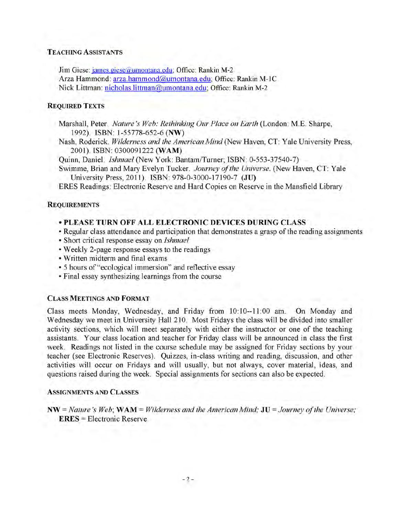#### **TEACHING ASSISTANTS**

Jim Giese: james.giese@umontana.edu; Office: Rankin M-2 Arza Hammond: arza.hammond@umontana.edu; Office: Rankin M-1C Nick Littman: nicholas.littman@umontana.edu: Office: Rankin M-2

#### **REQUIRED TEXTS**

Marshall, Peter. *Nature's Web: Rethinking Our Place on Earth* (London: M.E. Sharpe, 1992). ISBN: 1-55778-652-6 (NW)

Nash, Roderick. *Wilderness and the American Mind* (New Haven, CT: Yale University Press, 2001). ISBN: 0300091222 (WAM)

Quinn, Daniel. *Ishmael* (New York: Bantam/Turner; ISBN: 0-553-37540-7)

Swimme, Brian and Mary Evelyn Tucker. *Journey of the Universe.* (New Haven, CT: Yale University Press, 2011). ISBN: 978-0-3000-17190-7 **(JU)**

ERES Readings: Electronic Reserve and Hard Copies on Reserve in the Mansfield Library

#### **REQUIREMENTS**

#### **• PLEASE TURN OFF ALL ELECTRONIC DEVICES DURING CLASS**

- Regular class attendance and participation that demonstrates a grasp of the reading assignments
- Short critical response essay on *Ishmael*
- Weekly 2-page response essays to the readings
- Written midterm and final exams
- 5 hours of "ecological immersion" and reflective essay
- Final essay synthesizing learnings from the course

#### **CLASS MEETINGS AND FORMAT**

Class meets Monday, Wednesday, and Friday from 10:10—11:00 am. On Monday and Wednesday we meet in University Hall 210. Most Fridays the class will be divided into smaller activity sections, which will meet separately with either the instructor or one of the teaching assistants. Your class location and teacher for Friday class will be announced in class the first week. Readings not listed in the course schedule may be assigned for Friday sections by your teacher (see Electronic Reserves). Quizzes, in-class writing and reading, discussion, and other activities will occur on Fridays and will usually, but not always, cover material, ideas, and questions raised during the week. Special assignments for sections can also be expected.

#### **ASSIGNMENTS AND CLASSES**

 $NW = Nature's Web;  $WAM = Wilderness$  and the American Mind;  $JU = Journey$  of the Universe;$ **ERES** = Electronic Reserve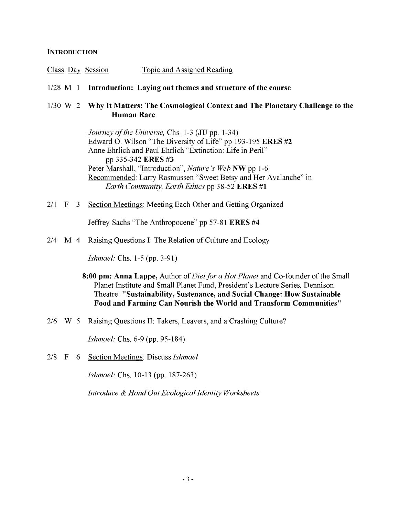#### **INTRODUCTION**

- Class Day Session Topic and Assigned Reading
- 1/28 M 1 **Introduction: Laying out themes and structure of the course**

#### 1/30 W 2 **Why It Matters: The Cosmological Context and The Planetary Challenge to the Human Race**

*Journey of the Universe, Chs. 1-3 (JU pp. 1-34)* Edward O. Wilson "The Diversity of Life" pp 193-195 ERES #2 Anne Ehrlich and Paul Ehrlich "Extinction: Life in Peril" pp 335-342 ERES #3 Peter Marshall, "Introduction", *Nature's Web* NW pp 1-6 Recommended: Larry Rasmussen "Sweet Betsy and Her Avalanche" in *Earth Community, Earth Ethics* pp 38-52 ERES #1

2/1 F 3 Section Meetings: Meeting Each Other and Getting Organized

Jeffrey Sachs "The Anthropocene" pp 57-81 ERES #4

2/4 M 4 Raising Questions I: The Relation of Culture and Ecology

*Ishmael:* Chs. 1-5 (pp. 3-91)

- **8:00 pm: Anna Lappe,** Author of *Diet for a Hot Planet* and Co-founder of the Small Planet Institute and Small Planet Fund; President's Lecture Series, Dennison Theatre: **"Sustainability, Sustenance, and Social Change: How Sustainable Food and Farming Can Nourish the World and Transform Communities"**
- 2/6 W 5 Raising Questions II: Takers, Leavers, and a Crashing Culture?

*Ishmael:* Chs. 6-9 (pp. 95-184)

2/8 F 6 Section Meetings: Discuss *Ishmael*

*Ishmael:* Chs. 10-13 (pp. 187-263)

*Introduce & Hand Out Ecological Identity Worksheets*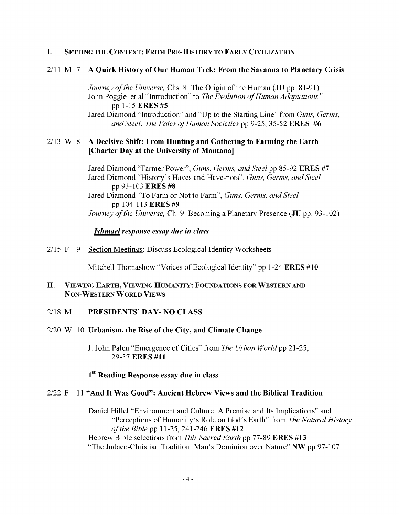#### **I.** SETTING THE CONTEXT: FROM PRE-HISTORY TO EARLY CIVILIZATION

#### 2/11 M **7 A Quick History of Our Human Trek: From the Savanna to Planetary Crisis**

*Journey of the Universe, Chs. 8: The Origin of the Human (JU pp. 81-91)* John Poggie, et al "Introduction" to *The Evolution of Human Adaptations*" pp 1-15 ERES #5

Jared Diamond "Introduction" and "Up to the Starting Line" from *Guns, Germs, and Steel: The Fates of Human Societies* pp 9-25, 35-52 **ERES** #6

#### W 8 **A Decisive Shift: From Hunting and Gathering to Farming the Earth [Charter Day at the University of Montana]**  $2/13$  W 8

Jared Diamond "Farmer Power", *Guns, Germs, and Steel* pp 85-92 **ERES** #7 Jared Diamond "History's Haves and Have-nots", *Guns, Germs, and Steel* pp 93-103 **ERES #8** Jared Diamond "To Farm or Not to Farm", *Guns, Germs, and Steel* pp 104-113 **ERES #9** *Journey of the Universe, Ch. 9: Becoming a Planetary Presence (JU pp. 93-102)* 

#### *Ishmael response essay due in class*

2/15 F 9 Section Meetings: Discuss Ecological Identity Worksheets

Mitchell Thomashow "Voices of Ecological Identity" **pp** 1-24 **ERES #10**

#### **V ie w in g E a r t h , V ie w in g H u m a n it y : F o u n d a t io n s f o r W e s t e r n a n d NON-WESTERN WORLD VIEWS II.**

#### **PRESIDENTS' DAY- NO CLASS** 2/18 M

#### W 10 **Urbanism, the Rise of the City, and Climate Change** 2/20

J. John Palen "Emergence of Cities" from *The Urban World* pp 21-25; 29-57 **ERES #11**

#### **1st Reading Response essay due in class**

#### F 11 **"And It Was Good": Ancient Hebrew Views and the Biblical Tradition 2/22**

Daniel Hillel "Environment and Culture: A Premise and Its Implications" and "Perceptions of Humanity's Role on God's Earth" from *The Natural History of the Bible* pp 11-25, 241-246 **ERES #12** Hebrew Bible selections from *This Sacred Earth* pp 77-89 **ERES #13** "The Judaeo-Christian Tradition: Man's Dominion over Nature" NW pp 97-107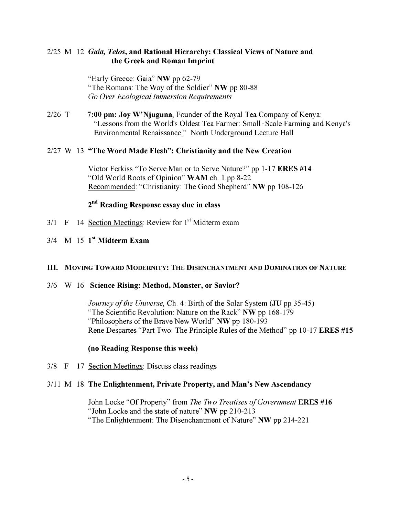#### 2/25 M 12 *Gaia, Telos,* **and Rational Hierarchy: Classical Views of Nature and the Greek and Roman Imprint**

"Early Greece: Gaia" **NW** pp 62-79 "The Romans: The Way of the Soldier" **NW** pp 80-88 *Go Over Ecological Immersion Requirements*

T **7:00 pm: Joy W'Njuguna,** Founder of the Royal Tea Company of Kenya: "Lessons from the World's Oldest Tea Farmer: Small-Scale Farming and Kenya's Environmental Renaissance." North Underground Lecture Hall  $2/26$  T

#### W 13 **"The Word Made Flesh": Christianity and the New Creation** 2/27

Victor Ferkiss "To Serve Man or to Serve Nature?" pp 1-17 **ERES #14** "Old World Roots of Opinion" **WAM** ch. 1 pp 8-22 Recommended: "Christianity: The Good Shepherd" **NW** pp 108-126

### **2nd Reading Response essay due in class**

- $3/1$  F 14 Section Meetings: Review for  $1<sup>st</sup>$  Midterm exam
- M 15 **1st Midterm Exam** 3/4

#### III. Moving Toward Modernity: The Disenchantment and Domination of Nature

#### W 16 **Science Rising: Method, Monster, or Savior?** 3/6

*Journey of the Universe,* Ch. 4: Birth of the Solar System (**JU** pp 35-45) "The Scientific Revolution: Nature on the Rack" **NW** pp 168-179 "Philosophers of the Brave New World" **NW** pp 180-193 Rene Descartes "Part Two: The Principle Rules of the Method" pp 10-17 **ERES #15**

#### **(no Reading Response this week)**

3/8 F 17 Section Meetings: Discuss class readings

#### M 18 **The Enlightenment, Private Property, and Man's New Ascendancy** 3/11

John Locke "Of Property" from *The Two Treatises of Government* ERES #16 "John Locke and the state of nature" **NW** pp 210-213 "The Enlightenment: The Disenchantment of Nature" **NW** pp 214-221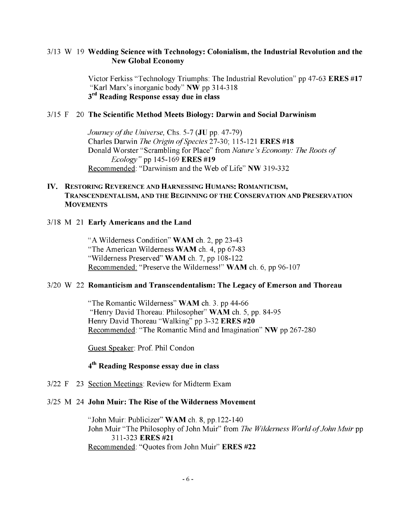#### 3/13 W 19 **Wedding Science with Technology: Colonialism, the Industrial Revolution and the New Global Economy**

Victor Ferkiss "Technology Triumphs: The Industrial Revolution" pp 47-63 **ERES #17** "Karl Marx's inorganic body" **NW** pp 314-318 **3rd Reading Response essay due in class**

#### F 20 **The Scientific Method Meets Biology: Darwin and Social Darwinism** 3/15

*Journey of the Universe, Chs. 5-7 (JU pp. 47-79)* Charles Darwin *The Origin of Species* 27-30; 115-121 ERES #18 Donald Worster "Scrambling for Place" from *Nature's Economy: The Roots of Ecology* " pp 145-169 ERES **#19** Recommended: "Darwinism and the Web of Life" **NW** 319-332

#### **IV. RESTORING REVERENCE AND HARNESSING HUMANS: ROMANTICISM, TRANSCENDENTALISM, AND THE BEGINNING OF THE CONSERVATION AND PRESERVATION MOVEMENTS**

#### M 21 **Early Americans and the Land** 3/18

"A Wilderness Condition" **WAM** ch. 2, pp 23-43 "The American Wilderness **WAM** ch. 4, pp 67-83 "Wilderness Preserved" **WAM** ch. 7, pp 108-122 Recommended: "Preserve the Wilderness!" **WAM** ch. 6, pp 96-107

#### W 22 **Romanticism and Transcendentalism: The Legacy of Emerson and Thoreau** 3/20

"The Romantic Wilderness" **WAM** ch. 3. pp 44-66 "Henry David Thoreau: Philosopher" **WAM** ch. 5, pp. 84-95 Henry David Thoreau "Walking" pp 3-32 **ERES #20** Recommended: "The Romantic Mind and Imagination" **NW** pp 267-280

Guest Speaker: Prof. Phil Condon

#### **4th Reading Response essay due in class**

3/22 F 23 Section Meetings: Review for Midterm Exam

#### M 24 **John Muir: The Rise of the Wilderness Movement** 3/25

"John Muir: Publicizer" **WAM** ch. 8, pp. 122-140 John Muir "The Philosophy of John Muir" from *The Wilderness World of John Muir* pp 311-323 ERES **#21** Recommended: "Quotes from John Muir" ERES **#22**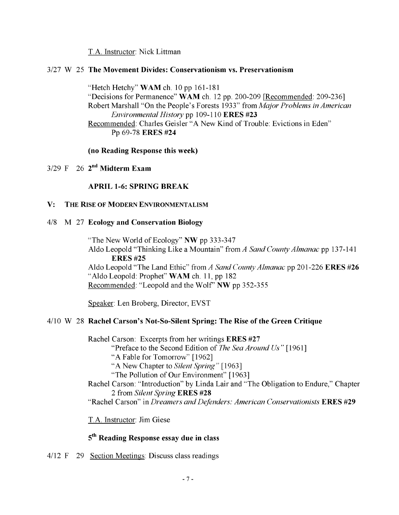T.A. Instructor: Nick Littman

#### 3/27 W 25 **The Movement Divides: Conservationism vs. Preservationism**

"Hetch Hetchy" **WAM** ch. 10 pp 161-181 "Decisions for Permanence" WAM ch. 12 pp. 200-209 [Recommended: 209-236] Robert Marshall "On the People's Forests 1933" from *Major Problems in American Environmental History* pp 109-110 **ERES #23** Recommended: Charles Geisler "A New Kind of Trouble: Evictions in Eden" Pp 69-78 **ERES #24**

**(no Reading Response this week)**

3/29 F 26 **2nd Midterm Exam**

#### **APRIL 1-6: SPRING BREAK**

#### **V: THE RISE OF MODERN ENVIRONMENTALISM**

#### 4/8 M 27 **Ecology and Conservation Biology**

"The New World of Ecology" **NW** pp 333-347 Aldo Leopold "Thinking Like a Mountain" from A *Sand County Almanac* pp 137-141 **ERES #25** Aldo Leopold "The Land Ethic" from *A Sand County Almanac* pp 201-226 **ERES #26** "Aldo Leopold: Prophet" **WAM** ch. 11, pp 182 Recommended: "Leopold and the Wolf" **NW** pp 352-355

Speaker: Len Broberg, Director, EVST

#### 4/10 W 28 **Rachel Carson's Not-So-Silent Spring: The Rise of the Green Critique**

Rachel Carson: Excerpts from her writings **ERES #27** "Preface to the Second Edition of *The Sea Around Us" \* 1961] "A Fable for Tomorrow" [1962] "A New Chapter to *Silent Spring"* [1963] "The Pollution of Our Environment" [1963] Rachel Carson: "Introduction" by Linda Lair and "The Obligation to Endure," Chapter 2 from *Silent Spring* **ERES #28** "Rachel Carson" in *Dreamers and Defenders: American Conservationists* **ERES #29**

T.A. Instructor: Jim Giese

#### **5th Reading Response essay due in class**

4/12 F 29 Section Meetings: Discuss class readings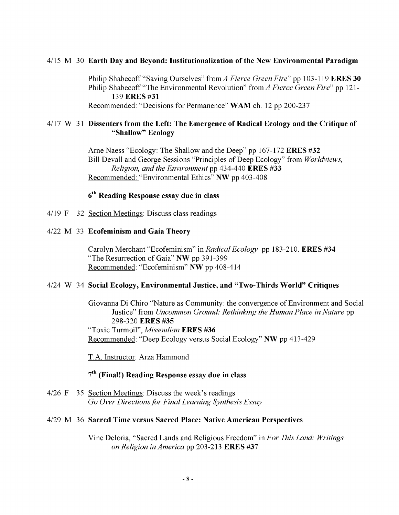#### 4/15 M 30 **Earth Day and Beyond: Institutionalization of the New Environmental Paradigm**

Philip Shabecoff "Saving Ourselves" from *A Fierce Green Fire"* pp 103-119 **ERES 30** Philip Shabecoff "The Environmental Revolution" from *A Fierce Green Fire"* pp 121- 139 **ERES #31**

Recommended: "Decisions for Permanence" WAM ch. 12 pp 200-237

#### 4/17 W **31 Dissenters from the Left: The Emergence of Radical Ecology and the Critique of "Shallow" Ecology**

Arne Naess "Ecology: The Shallow and the Deep" pp 167-172 **ERES #32** Bill Devall and George Sessions "Principles of Deep Ecology" from *Worldviews, Religion, and the Environment* pp 434-440 **ERES #33** Recommended: "Environmental Ethics" **NW** pp 403-408

## **6th Reading Response essay due in class**

4/19 F 32 Section Meetings: Discuss class readings

#### 4/22 M 33 **Ecofeminism and Gaia Theory**

Carolyn Merchant "Ecofeminism" in *Radical Ecology* **pp** 183-210. **ERES #34** "The Resurrection of Gaia" **NW pp** 391-399 Recommended: "Ecofeminism" **NW pp** 408-414

#### 4/24 W 34 **Social Ecology, Environmental Justice, and "Two-Thirds World" Critiques**

Giovanna Di Chiro "Nature as Community: the convergence of Environment and Social Justice" from *Uncommon Ground: Rethinking the Human Place in Nature* pp 298-320 **ERES #35** "Toxic Turmoil", *Missoulian* **ERES #36** Recommended: "Deep Ecology versus Social Ecology" **NW** pp 413-429

T.A. Instructor: Arza Hammond

### **7th (Final!) Reading Response essay due in class**

4/26 F 35 Section Meetings: Discuss the week's readings *Go Over Directions for Final Learning Synthesis Essay*

#### 4/29 M 36 **Sacred Time versus Sacred Place: Native American Perspectives**

Vine Deloria, "Sacred Lands and Religious Freedom" in *For This Land: Writings on Religion in America* pp 203-213 **ERES #37**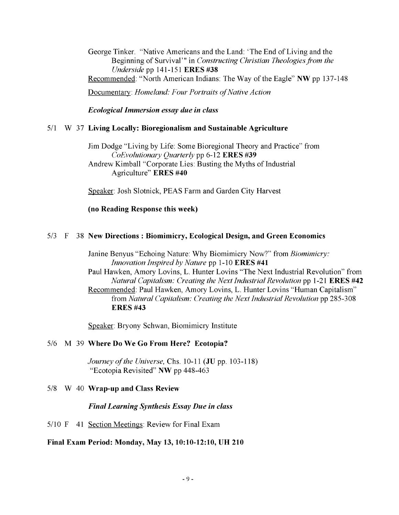George Tinker. "Native Americans and the Land: 'The End of Living and the Beginning of Survival'" in *Constructing Christian Theologies from the Underside* **pp** 141-151 **ERES #38** Recommended: "North American Indians: The Way of the Eagle" **NW pp** 137-148 Documentary: *Homeland: Four Portraits of Native Action* 

*Ecological Immersion essay due in class*

#### 5/1 W 37 **Living Locally: Bioregionalism and Sustainable Agriculture**

Jim Dodge "Living by Life: Some Bioregional Theory and Practice" from *CoEvolutionary Quarterly* pp 6-12 **ERES #39** Andrew Kimball "Corporate Lies: Busting the Myths of Industrial Agriculture" **ERES #40**

Speaker: Josh Slotnick, PEAS Farm and Garden City Harvest

#### **(no Reading Response this week)**

#### 5/3 F 38 **New Directions : Biomimicry, Ecological Design, and Green Economics**

Janine Benyus "Echoing Nature: Why Biomimicry Now?" from *Biomimicry: Innovation Inspired by Nature* pp 1-10 **ERES #41** Paul Hawken, Amory Lovins, L. Hunter Lovins "The Next Industrial Revolution" from *Natural Capitalism: Creating the Next Industrial Revolution* pp 1-21 **ERES #42** Recommended: Paul Hawken, Amory Lovins, L. Hunter Lovins "Human Capitalism" from *Natural Capitalism: Creating the Next Industrial Revolution* pp 285-308 **ERES #43**

Speaker: Bryony Schwan, Biomimicry Institute

#### 5/6 M 39 **Where Do We Go From Here? Ecotopia?**

*Journey of the Universe, Chs. 10-11 (JU pp. 103-118)* "Ecotopia Revisited" **NW** pp 448-463

#### 5/8 W 40 **Wrap-up and Class Review**

*Final Learning Synthesis Essay Due in class*

5/10 F 41 Section Meetings: Review for Final Exam

#### **Final Exam Period: Monday, May 13,10:10-12:10, UH 210**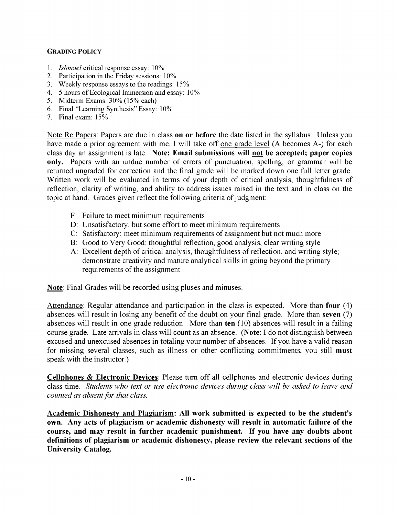#### **GRADING POLICY**

- 1. *Ishmael* critical response essay: 10%
- 2. Participation in the Friday sessions: 10%
- 3. Weekly response essays to the readings: 15%
- 4. 5 hours of Ecological Immersion and essay: 10%
- 5. Midterm Exams: 30% (15% each)
- 6. Final "Learning Synthesis" Essay: 10%
- 7. Final exam: 15%

Note Re Papers: Papers are due in class **on or before** the date listed in the syllabus. Unless you have made a prior agreement with me, I will take off one grade level (A becomes A-) for each class day an assignment is late. **Note: Email submissions will not be accepted; paper copies only.** Papers with an undue number of errors of punctuation, spelling, or grammar will be returned ungraded for correction and the final grade will be marked down one full letter grade. Written work will be evaluated in terms of your depth of critical analysis, thoughtfulness of reflection, clarity of writing, and ability to address issues raised in the text and in class on the topic at hand. Grades given reflect the following criteria of judgment:

- F: Failure to meet minimum requirements
- **D:** Unsatisfactory, but some effort to meet minimum requirements
- C: Satisfactory; meet minimum requirements of assignment but not much more
- B: Good to Very Good: thoughtful reflection, good analysis, clear writing style
- A: Excellent depth of critical analysis, thoughtfulness of reflection, and writing style; demonstrate creativity and mature analytical skills in going beyond the primary requirements of the assignment

**Note:** Final Grades will be recorded using pluses and minuses.

Attendance: Regular attendance and participation in the class is expected. More than **four** (4) absences will result in losing any benefit of the doubt on your final grade. More than **seven** (7) absences will result in one grade reduction. More than **ten** (10) absences will result in a failing course grade. Late arrivals in class will count as an absence. **(Note:** I do not distinguish between excused and unexcused absences in totaling your number of absences. If you have a valid reason for missing several classes, such as illness or other conflicting commitments, you still **must** speak with the instructor.)

**Cellphones & Electronic Devices:** Please turn off all cellphones and electronic devices during class time. *Students who text or use electronic devices during class will be asked to leave and counted as absent for that class.*

**Academic Dishonesty and Plagiarism: All work submitted is expected to be the student's own. Any acts of plagiarism or academic dishonesty will result in automatic failure of the course, and may result in further academic punishment. If you have any doubts about definitions of plagiarism or academic dishonesty, please review the relevant sections of the University Catalog.**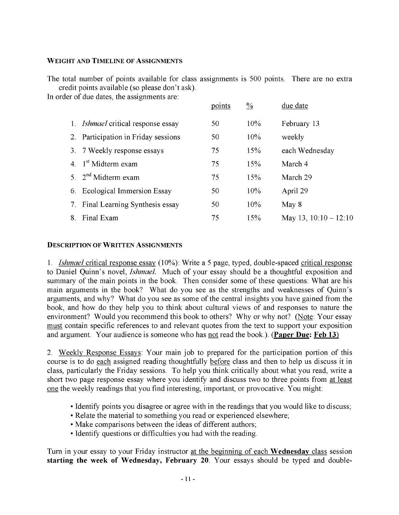#### **WEIGHT AND TIMELINE OF ASSIGNMENTS**

The total number of points available for class assignments is 500 points. There are no extra credit points available (so please don't ask).

In order of due dates, the assignments are:

|    |                                        | points | $\frac{0}{0}$ | due date                |
|----|----------------------------------------|--------|---------------|-------------------------|
| 1. | <i>Ishmael</i> critical response essay | 50     | 10%           | February 13             |
|    | 2. Participation in Friday sessions    | 50     | 10%           | weekly                  |
|    | 3. 7 Weekly response essays            | 75     | 15%           | each Wednesday          |
|    | 4. $1st Midterm exam$                  | 75     | 15%           | March 4                 |
|    | 5. $2nd Midterm exam$                  | 75     | 15%           | March 29                |
|    | 6. Ecological Immersion Essay          | 50     | 10%           | April 29                |
| 7. | Final Learning Synthesis essay         | 50.    | 10%           | May 8                   |
| 8. | Final Exam                             | 75     | 15%           | May 13, $10:10 - 12:10$ |

#### **DESCRIPTION OF WRITTEN ASSIGNMENTS**

1. *Ishmael* critical response essay (10%): Write a 5 page, typed, double-spaced critical response to Daniel Quinn's novel, *Ishmael.* Much of your essay should be a thoughtful exposition and summary of the main points in the book. Then consider some of these questions: What are his main arguments in the book? What do you see as the strengths and weaknesses of Quinn's arguments, and why? What do you see as some of the central insights you have gained from the book, and how do they help you to think about cultural views of and responses to nature the environment? Would you recommend this book to others? Why or why not? (Note: Your essay must contain specific references to and relevant quotes from the text to support your exposition and argument. Your audience is someone who has not read the book.). **(Paper Due: Feb 13)**

2. Weekly Response Essays: Your main job to prepared for the participation portion of this course is to do each assigned reading thoughtfully before class and then to help us discuss it in class, particularly the Friday sessions. To help you think critically about what you read, write a short two page response essay where you identify and discuss two to three points from at least one the weekly readings that you find interesting, important, or provocative. You might:

- Identify points you disagree or agree with in the readings that you would like to discuss;
- Relate the material to something you read or experienced elsewhere;
- Make comparisons between the ideas of different authors;
- Identify questions or difficulties you had with the reading.

Turn in your essay to your Friday instructor at the beginning of each **Wednesday** class session starting the week of Wednesday, February 20. Your essays should be typed and double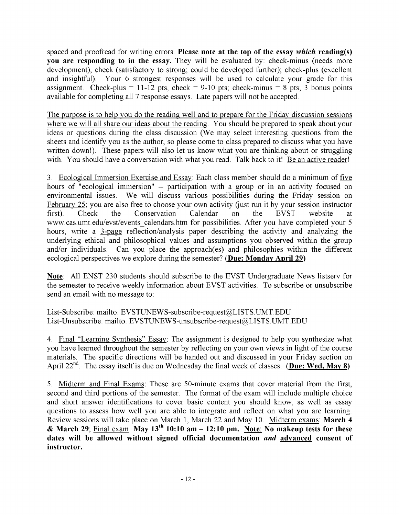spaced and proofread for writing errors. **Please note at the top of the essay** *which* **reading(s) you are responding to in the essay.** They will be evaluated by: check-minus (needs more development); check (satisfactory to strong; could be developed further); check-plus (excellent and insightful). Your 6 strongest responses will be used to calculate your grade for this assignment. Check-plus = 11-12 pts, check = 9-10 pts; check-minus = 8 pts; 3 bonus points available for completing all 7 response essays. Late papers will not be accepted.

The purpose is to help you do the reading well and to prepare for the Friday discussion sessions where we will all share our ideas about the reading. You should be prepared to speak about your ideas or questions during the class discussion (We may select interesting questions from the sheets and identify you as the author, so please come to class prepared to discuss what you have written down!). These papers will also let us know what you are thinking about or struggling with. You should have a conversation with what you read. Talk back to it! Be an active reader!

3. Ecological Immersion Exercise and Essay: Each class member should do a minimum of five hours of "ecological immersion" — participation with a group or in an activity focused on environmental issues. We will discuss various possibilities during the Friday session on February 25: you are also free to choose your own activity (just run it by your session instructor first). Check the Conservation Calendar on the EVST website at www.cas.umt.edu/evst/events\_calendars.htm for possibilities. After you have completed your 5 hours, write a 3-page reflection/analysis paper describing the activity and analyzing the underlying ethical and philosophical values and assumptions you observed within the group and/or individuals. Can you place the approach(es) and philosophies within the different ecological perspectives we explore during the semester? **(Due: Monday April 29)**

**Note:** All ENST 230 students should subscribe to the EVST Undergraduate News listserv for the semester to receive weekly information about EVST activities. To subscribe or unsubscribe send an email with no message to:

List-Subscribe: mailto: EVSTUNEWS-subscribe-request@LISTS.UMT.EDU List-Unsubscribe: mailto: EVSTUNEWS-unsubscribe-request@LISTS.UMT.EDU

4. Final "Learning Synthesis" Essay: The assignment is designed to help you synthesize what you have learned throughout the semester by reflecting on your own views in light of the course materials. The specific directions will be handed out and discussed in your Friday section on April 22<sup>nd</sup>. The essay itself is due on Wednesday the final week of classes. **(Due: Wed, May 8)** 

5. Midterm and Final Exams: These are 50-minute exams that cover material from the first, second and third portions of the semester. The format of the exam will include multiple choice and short answer identifications to cover basic content you should know, as well as essay questions to assess how well you are able to integrate and reflect on what you are learning. Review sessions will take place on March 1, March 22 and May 10. Midterm exams: **March 4 & March 29;** Final exam: **May 13th 10:10 am - 12:10 pm. Note: No makeup tests for these dates will be allowed without signed official documentation** *and* **advanced consent of instructor.**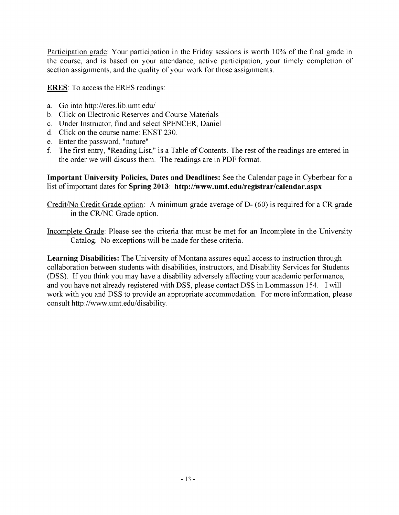Participation grade: Your participation in the Friday sessions is worth 10% of the final grade in the course, and is based on your attendance, active participation, your timely completion of section assignments, and the quality of your work for those assignments.

**ERES:** To access the ERES readings:

- a. Go into http://eres.lib.umt.edu/
- b. Click on Electronic Reserves and Course Materials
- c. Under Instructor, find and select SPENCER, Daniel
- d. Click on the course name: ENST 230.
- e. Enter the password, "nature"
- f. The first entry, "Reading List," is a Table of Contents. The rest of the readings are entered in the order we will discuss them. The readings are in PDF format.

**Important University Policies, Dates and Deadlines:** See the Calendar page in Cyberbear for a list of important dates for **Spring 2013: http://www.umt.edu/registrar/calendar.aspx**

Credit/No Credit Grade option: A minimum grade average of D- (60) is required for a CR grade in the CR/NC Grade option.

Incomplete Grade: Please see the criteria that must be met for an Incomplete in the University Catalog. No exceptions will be made for these criteria.

**Learning Disabilities:** The University of Montana assures equal access to instruction through collaboration between students with disabilities, instructors, and Disability Services for Students (DSS). If you think you may have a disability adversely affecting your academic performance, and you have not already registered with DSS, please contact DSS in Lommasson 154. I will work with you and DSS to provide an appropriate accommodation. For more information, please consult http://www.umt.edu/disability.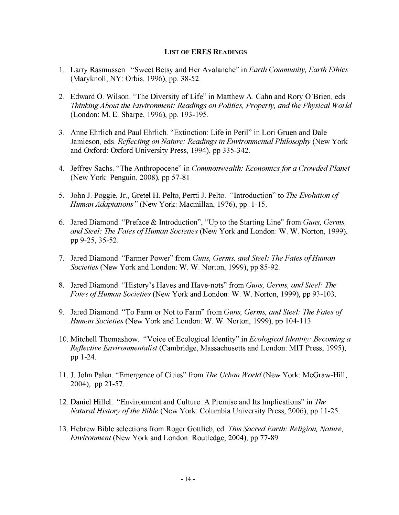#### **LIST OF ERES READINGS**

- 1. Larry Rasmussen. "Sweet Betsy and Her Avalanche" in *Earth Community, Earth Ethics* (Maryknoll, NY: Orbis, 1996), pp. 38-52.
- 2. Edward O. Wilson. "The Diversity of Life" in Matthew A. Cahn and Rory O'Brien, eds. *Thinking About the Environment: Readings on Politics, Property, and the Physical World* (London: M. E. Sharpe, 1996), pp. 193-195.
- 3. Anne Ehrlich and Paul Ehrlich. "Extinction: Life in Peril" in Lori Gruen and Dale Jamieson, eds. *Reflecting on Nature: Readings in Environmental Philosophy* (New York and Oxford: Oxford University Press, 1994), pp 335-342.
- 4. Jeffrey Sachs. "The Anthropocene" in *Commonwealth: Economics for a Crowded Planet* (New York: Penguin, 2008), pp 57-81
- 5. John J. Poggie, Jr., Gretel H. Pelto, Pertti J. Pelto. "Introduction" to *The Evolution of Human Adaptations"* (New York: Macmillan, 1976), pp. 1-15.
- 6. Jared Diamond. "Preface & Introduction", "Up to the Starting Line" from *Guns, Germs, and Steel: The Fates of Human Societies* (New York and London: W. W. Norton, 1999), pp 9-25, 35-52.
- 7. Jared Diamond. "Farmer Power" from *Guns, Germs, and Steel: The Fates of Human Societies* (New York and London: W. W. Norton, 1999), pp 85-92.
- 8. Jared Diamond. "History's Haves and Have-nots" from *Guns, Germs, and Steel: The Fates of Human Societies* (New York and London: W. W. Norton, 1999), pp 93-103.
- 9. Jared Diamond. "To Farm or Not to Farm" from *Guns, Germs, and Steel: The Fates of Human Societies* (New York and London: W. W. Norton, 1999), pp 104-113.
- 10. Mitchell Thomashow. "Voice of Ecological Identity" in *Ecological Identity: Becoming a Reflective Environmentalist* (Cambridge, Massachusetts and London: MIT Press, 1995), pp 1-24.
- 11. J. John Palen. "Emergence of Cities" from *The Urban World* (New York: McGraw-Hill, 2004), pp 21-57.
- 12. Daniel Hillel. "Environment and Culture: A Premise and Its Implications" in *The Natural History of the Bible* (New York: Columbia University Press, 2006), pp 11-25.
- 13. Hebrew Bible selections from Roger Gottlieb, ed. *This Sacred Earth: Religion, Nature, Environment* (New York and London: Routledge, 2004), pp 77-89.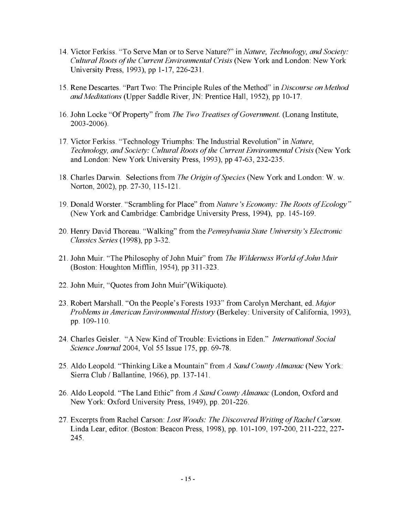- 14. Victor Ferkiss. "To Serve Man or to Serve Nature?" in *Nature, Technology, and Society: Cultural Roots of the Current Environmental Crisis* (New York and London: New York University Press, 1993), pp 1-17, 226-231.
- 15. Rene Descartes. "Part Two: The Principle Rules of the Method" in *Discourse on Method and Meditations* (Upper Saddle River, JN: Prentice Hall, 1952), pp 10-17.
- 16. John Locke "Of Property" from *The Two Treatises of Government*. (Lonang Institute, 2003-2006).
- 17. Victor Ferkiss. "Technology Triumphs: The Industrial Revolution" in *Nature, Technology, and Society: Cultural Roots of the Current Environmental Crisis* (New York and London: New York University Press, 1993), pp 47-63, 232-235.
- 18. Charles Darwin. Selections from *The Origin of Species* (New York and London: W. w. Norton, 2002), pp. 27-30, 115-121.
- 19. Donald Worster. "Scrambling for Place" from *Nature's Economy: The Roots of Ecology*" (New York and Cambridge: Cambridge University Press, 1994), pp. 145-169.
- 20. Henry David Thoreau. "Walking" from the *Pennsylvania State University's Electronic Classics Series* (1998), pp 3-32.
- 21. John Muir. "The Philosophy of John Muir" from *The Wilderness World of John Muir* (Boston: Houghton Mifflin, 1954), pp 311-323.
- 22. John Muir, "Quotes from John Muir"(Wikiquote).
- 23. Robert Marshall. "On the People's Forests 1933" from Carolyn Merchant, ed. *Major Problems in American Environmental History* (Berkeley: University of California, 1993), pp. 109-110.
- 24. Charles Geisler. "A New Kind of Trouble: Evictions in Eden." *International Social Science Journal* 2004, Vol 55 Issue 175, pp. 69-78.
- 25. Aldo Leopold. "Thinking Like a Mountain" from A *Sand County Almanac* (New York: Sierra Club / Ballantine, 1966), pp. 137-141.
- 26. Aldo Leopold. "The Land Ethic" from *A Sand County Almanac* (London, Oxford and New York: Oxford University Press, 1949), pp. 201-226.
- 27. Excerpts from Rachel Carson: *Lost Woods: The Discovered Writing of Rachel Carson.* Linda Lear, editor. (Boston: Beacon Press, 1998), pp. 101-109, 197-200, 211-222, 227- 245.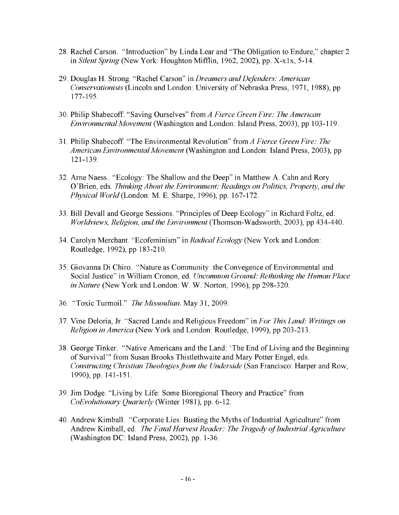- 28. Rachel Carson. "Introduction" by Linda Lear and "The Obligation to Endure," chapter 2 in *Silent Spring* (New York: Houghton Mifflin, 1962, 2002), pp. X-xlx, 5-14.
- 29. Douglas H. Strong. "Rachel Carson" in *Dreamers and Defenders: American Conservationists* (Lincoln and London: University of Nebraska Press, 1971, 1988), pp 177-195.
- 30. Philip Shabecoff. "Saving Ourselves" from *A Fierce Green Fire: The American Environmental Movement* (Washington and London: Island Press, 2003), pp 103-119.
- 31. Philip Shabecoff. "The Environmental Revolution" from *A Fierce Green Fire: The American Environmental Movement* (Washington and London: Island Press, 2003), pp 121-139.
- 32. Arne Naess. "Ecology: The Shallow and the Deep" in Matthew A. Cahn and Rory O'Brien, eds. *Thinking About the Environment: Readings on Politics, Property, and the Physical World* (London: M. E. Sharpe, 1996), pp. 167-172.
- 33. Bill Devall and George Sessions. "Principles of Deep Ecology" in Richard Foltz, ed. *Worldviews, Religion, and the Environment* (Thomson-Wadsworth, 2003), pp 434-440.
- 34. Carolyn Merchant. "Ecofeminism" in *Radical Ecology* (New York and London: Routledge, 1992), pp 183-210.
- 35. Giovanna Di Chiro. "Nature as Community: the Convegence of Environmental and Social Justice" in William Cronon, ed. *Uncommon Ground: Rethinking the Human Place in Nature* (New York and London: W. W. Norton, 1996), pp 298-320.
- 36. "Toxic Turmoil." *The Missoulian.* May 31, 2009.
- 37. Vine Deloria, Jr. "Sacred Lands and Religious Freedom" in *For This Land: Writings on Religion in America* (New York and London: Routledge, 1999), pp 203-213.
- 38. George Tinker. "Native Americans and the Land: 'The End of Living and the Beginning of Survival'" from Susan Brooks Thistlethwaite and Mary Potter Engel, eds. *Constructing Christian Theologies from the Underside* (San Francisco: Harper and Row, 1990), pp. 141-151.
- 39. Jim Dodge. "Living by Life: Some Bioregional Theory and Practice" from *CoEvolutionary Quarterly* (Winter 1981), pp. 6-12.
- 40. Andrew Kimball. "Corporate Lies: Busting the Myths of Industrial Agriculture" from Andrew Kimball, ed. *The Fatal Harvest Reader: The Tragedy of Industrial Agriculture* (Washington DC: Island Press, 2002), pp. 1-36.